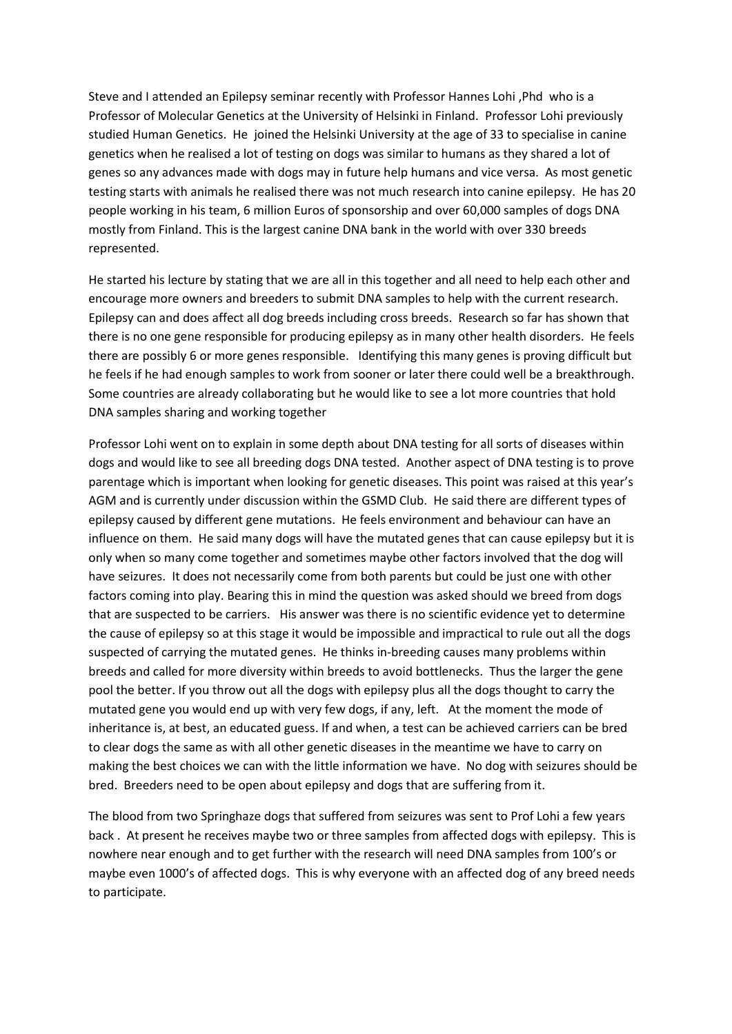Steve and I attended an Epilepsy seminar recently with Professor Hannes Lohi ,Phd who is a Professor of Molecular Genetics at the University of Helsinki in Finland. Professor Lohi previously studied Human Genetics. He joined the Helsinki University at the age of 33 to specialise in canine genetics when he realised a lot of testing on dogs was similar to humans as they shared a lot of genes so any advances made with dogs may in future help humans and vice versa. As most genetic testing starts with animals he realised there was not much research into canine epilepsy. He has 20 people working in his team, 6 million Euros of sponsorship and over 60,000 samples of dogs DNA mostly from Finland. This is the largest canine DNA bank in the world with over 330 breeds represented.

He started his lecture by stating that we are all in this together and all need to help each other and encourage more owners and breeders to submit DNA samples to help with the current research. Epilepsy can and does affect all dog breeds including cross breeds. Research so far has shown that there is no one gene responsible for producing epilepsy as in many other health disorders. He feels there are possibly 6 or more genes responsible. Identifying this many genes is proving difficult but he feels if he had enough samples to work from sooner or later there could well be a breakthrough. Some countries are already collaborating but he would like to see a lot more countries that hold DNA samples sharing and working together

Professor Lohi went on to explain in some depth about DNA testing for all sorts of diseases within dogs and would like to see all breeding dogs DNA tested. Another aspect of DNA testing is to prove parentage which is important when looking for genetic diseases. This point was raised at this year's AGM and is currently under discussion within the GSMD Club. He said there are different types of epilepsy caused by different gene mutations. He feels environment and behaviour can have an influence on them. He said many dogs will have the mutated genes that can cause epilepsy but it is only when so many come together and sometimes maybe other factors involved that the dog will have seizures. It does not necessarily come from both parents but could be just one with other factors coming into play. Bearing this in mind the question was asked should we breed from dogs that are suspected to be carriers. His answer was there is no scientific evidence yet to determine the cause of epilepsy so at this stage it would be impossible and impractical to rule out all the dogs suspected of carrying the mutated genes. He thinks in-breeding causes many problems within breeds and called for more diversity within breeds to avoid bottlenecks. Thus the larger the gene pool the better. If you throw out all the dogs with epilepsy plus all the dogs thought to carry the mutated gene you would end up with very few dogs, if any, left. At the moment the mode of inheritance is, at best, an educated guess. If and when, a test can be achieved carriers can be bred to clear dogs the same as with all other genetic diseases in the meantime we have to carry on making the best choices we can with the little information we have. No dog with seizures should be bred. Breeders need to be open about epilepsy and dogs that are suffering from it.

The blood from two Springhaze dogs that suffered from seizures was sent to Prof Lohi a few years back . At present he receives maybe two or three samples from affected dogs with epilepsy. This is nowhere near enough and to get further with the research will need DNA samples from 100's or maybe even 1000's of affected dogs. This is why everyone with an affected dog of any breed needs to participate.